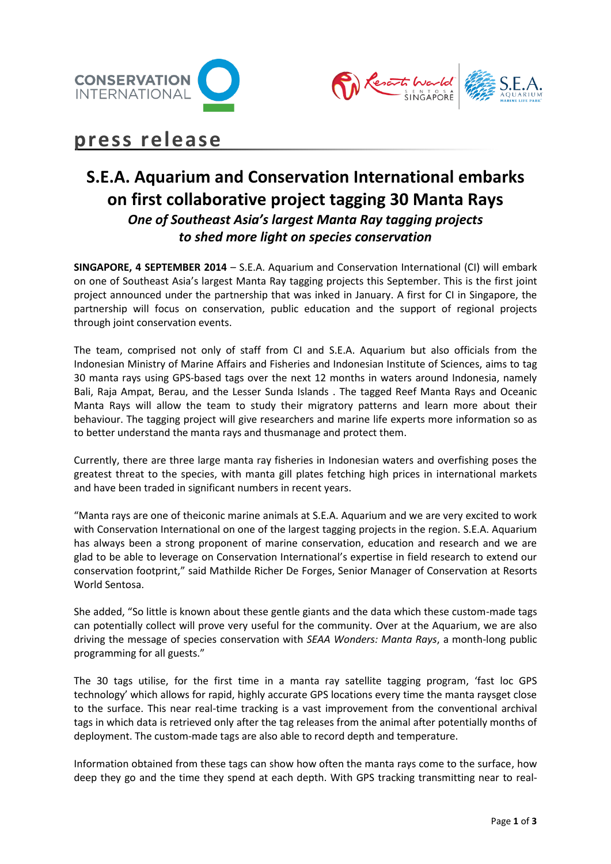



# **press release**

# **S.E.A. Aquarium and Conservation International embarks on first collaborative project tagging 30 Manta Rays** *One of Southeast Asia's largest Manta Ray tagging projects to shed more light on species conservation*

**SINGAPORE, 4 SEPTEMBER 2014** – S.E.A. Aquarium and Conservation International (CI) will embark on one of Southeast Asia's largest Manta Ray tagging projects this September. This is the first joint project announced under the partnership that was inked in January. A first for CI in Singapore, the partnership will focus on conservation, public education and the support of regional projects through joint conservation events.

The team, comprised not only of staff from CI and S.E.A. Aquarium but also officials from the Indonesian Ministry of Marine Affairs and Fisheries and Indonesian Institute of Sciences, aims to tag 30 manta rays using GPS-based tags over the next 12 months in waters around Indonesia, namely Bali, Raja Ampat, Berau, and the Lesser Sunda Islands . The tagged Reef Manta Rays and Oceanic Manta Rays will allow the team to study their migratory patterns and learn more about their behaviour. The tagging project will give researchers and marine life experts more information so as to better understand the manta rays and thusmanage and protect them.

Currently, there are three large manta ray fisheries in Indonesian waters and overfishing poses the greatest threat to the species, with manta gill plates fetching high prices in international markets and have been traded in significant numbers in recent years.

"Manta rays are one of theiconic marine animals at S.E.A. Aquarium and we are very excited to work with Conservation International on one of the largest tagging projects in the region. S.E.A. Aquarium has always been a strong proponent of marine conservation, education and research and we are glad to be able to leverage on Conservation International's expertise in field research to extend our conservation footprint," said Mathilde Richer De Forges, Senior Manager of Conservation at Resorts World Sentosa.

She added, "So little is known about these gentle giants and the data which these custom-made tags can potentially collect will prove very useful for the community. Over at the Aquarium, we are also driving the message of species conservation with *SEAA Wonders: Manta Rays*, a month-long public programming for all guests."

The 30 tags utilise, for the first time in a manta ray satellite tagging program, 'fast loc GPS technology' which allows for rapid, highly accurate GPS locations every time the manta raysget close to the surface. This near real-time tracking is a vast improvement from the conventional archival tags in which data is retrieved only after the tag releases from the animal after potentially months of deployment. The custom-made tags are also able to record depth and temperature.

Information obtained from these tags can show how often the manta rays come to the surface, how deep they go and the time they spend at each depth. With GPS tracking transmitting near to real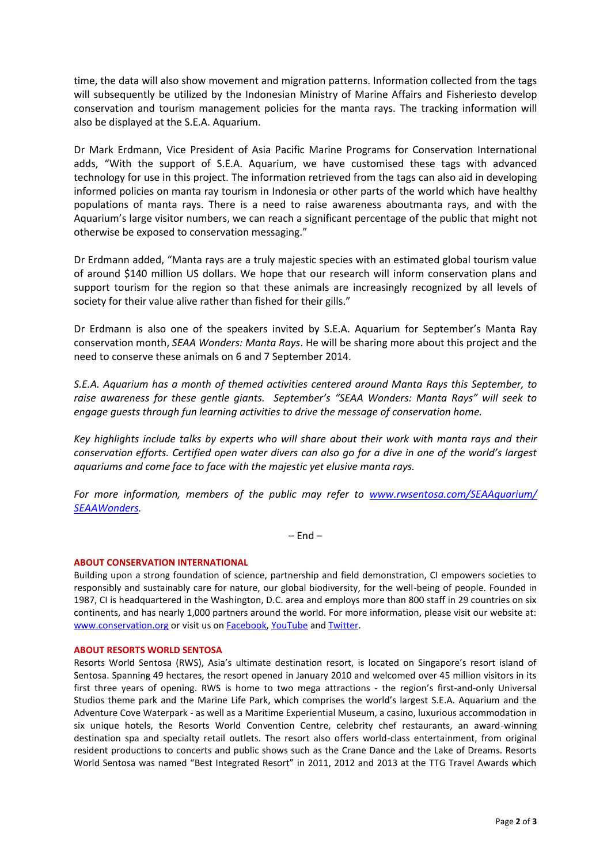time, the data will also show movement and migration patterns. Information collected from the tags will subsequently be utilized by the Indonesian Ministry of Marine Affairs and Fisheriesto develop conservation and tourism management policies for the manta rays. The tracking information will also be displayed at the S.E.A. Aquarium.

Dr Mark Erdmann, Vice President of Asia Pacific Marine Programs for Conservation International adds, "With the support of S.E.A. Aquarium, we have customised these tags with advanced technology for use in this project. The information retrieved from the tags can also aid in developing informed policies on manta ray tourism in Indonesia or other parts of the world which have healthy populations of manta rays. There is a need to raise awareness aboutmanta rays, and with the Aquarium's large visitor numbers, we can reach a significant percentage of the public that might not otherwise be exposed to conservation messaging."

Dr Erdmann added, "Manta rays are a truly majestic species with an estimated global tourism value of around \$140 million US dollars. We hope that our research will inform conservation plans and support tourism for the region so that these animals are increasingly recognized by all levels of society for their value alive rather than fished for their gills."

Dr Erdmann is also one of the speakers invited by S.E.A. Aquarium for September's Manta Ray conservation month, *SEAA Wonders: Manta Rays*. He will be sharing more about this project and the need to conserve these animals on 6 and 7 September 2014.

*S.E.A. Aquarium has a month of themed activities centered around Manta Rays this September, to raise awareness for these gentle giants. September's "SEAA Wonders: Manta Rays" will seek to engage guests through fun learning activities to drive the message of conservation home.* 

*Key highlights include talks by experts who will share about their work with manta rays and their conservation efforts. Certified open water divers can also go for a dive in one of the world's largest aquariums and come face to face with the majestic yet elusive manta rays.* 

*For more information, members of the public may refer to [www.rwsentosa.com/SEAAquarium/](http://www.rwsentosa.com/SEAAquarium/%0bSEAAWonders) [SEAAWonders.](http://www.rwsentosa.com/SEAAquarium/%0bSEAAWonders)*

 $-$  End  $-$ 

## **ABOUT CONSERVATION INTERNATIONAL**

Building upon a strong foundation of science, partnership and field demonstration, CI empowers societies to responsibly and sustainably care for nature, our global biodiversity, for the well-being of people. Founded in 1987, CI is headquartered in the Washington, D.C. area and employs more than 800 staff in 29 countries on six continents, and has nearly 1,000 partners around the world. For more information, please visit our website at: [www.conservation.org](http://www.conservation.org/) or visit us o[n Facebook,](https://www.facebook.com/conservation.intl?ref=ts) [YouTube](http://www.youtube.com/user/ConservationDotOrg) and [Twitter.](https://twitter.com/ConservationOrg)

#### **ABOUT RESORTS WORLD SENTOSA**

Resorts World Sentosa (RWS), Asia's ultimate destination resort, is located on Singapore's resort island of Sentosa. Spanning 49 hectares, the resort opened in January 2010 and welcomed over 45 million visitors in its first three years of opening. RWS is home to two mega attractions - the region's first-and-only Universal Studios theme park and the Marine Life Park, which comprises the world's largest S.E.A. Aquarium and the Adventure Cove Waterpark - as well as a Maritime Experiential Museum, a casino, luxurious accommodation in six unique hotels, the Resorts World Convention Centre, celebrity chef restaurants, an award-winning destination spa and specialty retail outlets. The resort also offers world-class entertainment, from original resident productions to concerts and public shows such as the Crane Dance and the Lake of Dreams. Resorts World Sentosa was named "Best Integrated Resort" in 2011, 2012 and 2013 at the TTG Travel Awards which